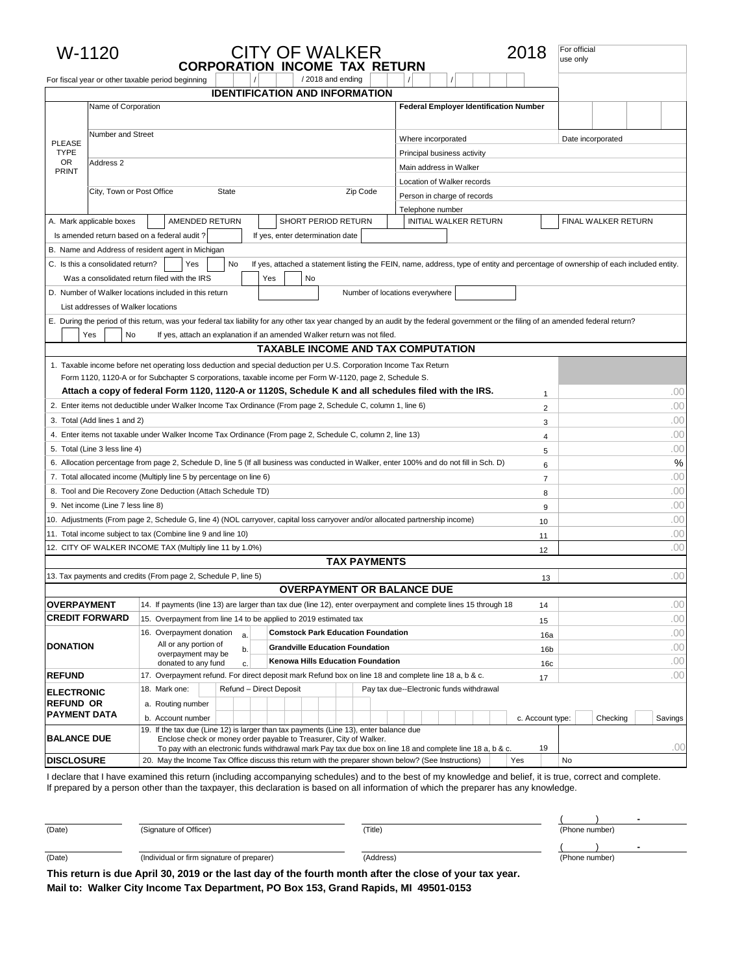|                                         | W-1120                             | <b>CITY OF WALKER</b><br><b>CORPORATION INCOME TAX RETURN</b>                                                                                                                        |                                                                                                                                   | 2018             | For official<br>use only |
|-----------------------------------------|------------------------------------|--------------------------------------------------------------------------------------------------------------------------------------------------------------------------------------|-----------------------------------------------------------------------------------------------------------------------------------|------------------|--------------------------|
|                                         |                                    | /2018 and ending<br>For fiscal year or other taxable period beginning                                                                                                                |                                                                                                                                   |                  |                          |
|                                         |                                    | <b>IDENTIFICATION AND INFORMATION</b>                                                                                                                                                |                                                                                                                                   |                  |                          |
|                                         | Name of Corporation                |                                                                                                                                                                                      | <b>Federal Employer Identification Number</b>                                                                                     |                  |                          |
|                                         | Number and Street                  |                                                                                                                                                                                      | Where incorporated                                                                                                                |                  | Date incorporated        |
| PLEASE<br><b>TYPE</b>                   |                                    |                                                                                                                                                                                      | Principal business activity                                                                                                       |                  |                          |
| OR                                      | Address 2                          |                                                                                                                                                                                      | Main address in Walker                                                                                                            |                  |                          |
| PRINT                                   |                                    |                                                                                                                                                                                      | Location of Walker records                                                                                                        |                  |                          |
|                                         | City, Town or Post Office          | State<br>Zip Code                                                                                                                                                                    | Person in charge of records                                                                                                       |                  |                          |
|                                         |                                    |                                                                                                                                                                                      | Telephone number                                                                                                                  |                  |                          |
|                                         | A. Mark applicable boxes           | SHORT PERIOD RETURN<br>AMENDED RETURN                                                                                                                                                | INITIAL WALKER RETURN                                                                                                             |                  | FINAL WALKER RETURN      |
|                                         |                                    | Is amended return based on a federal audit?<br>If yes, enter determination date                                                                                                      |                                                                                                                                   |                  |                          |
|                                         |                                    | B. Name and Address of resident agent in Michigan                                                                                                                                    |                                                                                                                                   |                  |                          |
|                                         | C. Is this a consolidated return?  | Yes<br>No<br>Was a consolidated return filed with the IRS<br>Yes<br>No                                                                                                               | If yes, attached a statement listing the FEIN, name, address, type of entity and percentage of ownership of each included entity. |                  |                          |
|                                         |                                    | D. Number of Walker locations included in this return                                                                                                                                | Number of locations everywhere                                                                                                    |                  |                          |
|                                         | List addresses of Walker locations |                                                                                                                                                                                      |                                                                                                                                   |                  |                          |
|                                         |                                    | E. During the period of this return, was your federal tax liability for any other tax year changed by an audit by the federal government or the filing of an amended federal return? |                                                                                                                                   |                  |                          |
|                                         | Yes<br>No                          | If yes, attach an explanation if an amended Walker return was not filed.                                                                                                             |                                                                                                                                   |                  |                          |
|                                         |                                    | <b>TAXABLE INCOME AND TAX COMPUTATION</b>                                                                                                                                            |                                                                                                                                   |                  |                          |
|                                         |                                    | 1. Taxable income before net operating loss deduction and special deduction per U.S. Corporation Income Tax Return                                                                   |                                                                                                                                   |                  |                          |
|                                         |                                    | Form 1120, 1120-A or for Subchapter S corporations, taxable income per Form W-1120, page 2, Schedule S.                                                                              |                                                                                                                                   |                  |                          |
|                                         |                                    | Attach a copy of federal Form 1120, 1120-A or 1120S, Schedule K and all schedules filed with the IRS.                                                                                |                                                                                                                                   | 1                | .00                      |
|                                         |                                    | 2. Enter items not deductible under Walker Income Tax Ordinance (From page 2, Schedule C, column 1, line 6)                                                                          |                                                                                                                                   | 2                | .00                      |
|                                         | 3. Total (Add lines 1 and 2)       |                                                                                                                                                                                      |                                                                                                                                   | 3                | .00                      |
|                                         |                                    | 4. Enter items not taxable under Walker Income Tax Ordinance (From page 2, Schedule C, column 2, line 13)                                                                            |                                                                                                                                   | 4                | .00                      |
|                                         | 5. Total (Line 3 less line 4)      |                                                                                                                                                                                      |                                                                                                                                   | 5                | .00                      |
|                                         |                                    | 6. Allocation percentage from page 2, Schedule D, line 5 (If all business was conducted in Walker, enter 100% and do not fill in Sch. D)                                             |                                                                                                                                   | 6                | %                        |
|                                         |                                    | 7. Total allocated income (Multiply line 5 by percentage on line 6)                                                                                                                  |                                                                                                                                   | $\overline{7}$   | .00                      |
|                                         |                                    | 8. Tool and Die Recovery Zone Deduction (Attach Schedule TD)                                                                                                                         |                                                                                                                                   | 8                | .00                      |
|                                         | 9. Net income (Line 7 less line 8) |                                                                                                                                                                                      |                                                                                                                                   | 9                | .00                      |
|                                         |                                    | 10. Adjustments (From page 2, Schedule G, line 4) (NOL carryover, capital loss carryover and/or allocated partnership income)                                                        |                                                                                                                                   | 10               | .00                      |
|                                         |                                    | 11. Total income subject to tax (Combine line 9 and line 10)                                                                                                                         |                                                                                                                                   | 11               | .00                      |
|                                         |                                    | 12. CITY OF WALKER INCOME TAX (Multiply line 11 by 1.0%)                                                                                                                             |                                                                                                                                   | 12               | .00                      |
|                                         |                                    | <b>TAX PAYMENTS</b>                                                                                                                                                                  |                                                                                                                                   |                  |                          |
|                                         |                                    | 13. Tax payments and credits (From page 2, Schedule P, line 5)                                                                                                                       |                                                                                                                                   | 13               | .00                      |
|                                         |                                    | OVERPAYMENT OR BALANCE DUE                                                                                                                                                           |                                                                                                                                   |                  |                          |
| <b>OVERPAYMENT</b>                      |                                    | 14. If payments (line 13) are larger than tax due (line 12), enter overpayment and complete lines 15 through 18                                                                      |                                                                                                                                   | 14               | .00                      |
|                                         | <b>CREDIT FORWARD</b>              | 15. Overpayment from line 14 to be applied to 2019 estimated tax                                                                                                                     |                                                                                                                                   | 15               | .00                      |
|                                         |                                    | 16. Overpayment donation<br><b>Comstock Park Education Foundation</b><br>a.<br>All or any portion of                                                                                 |                                                                                                                                   | 16a              | .00                      |
| <b>DONATION</b>                         |                                    | <b>Grandville Education Foundation</b><br>b.<br>overpayment may be                                                                                                                   |                                                                                                                                   | 16 <sub>b</sub>  | .00                      |
|                                         |                                    | Kenowa Hills Education Foundation<br>donated to any fund<br>c.                                                                                                                       |                                                                                                                                   | 16c              | .00                      |
| <b>REFUND</b>                           |                                    | 17. Overpayment refund. For direct deposit mark Refund box on line 18 and complete line 18 a, b & c.                                                                                 |                                                                                                                                   | 17               | .00                      |
| <b>ELECTRONIC</b>                       |                                    | Refund - Direct Deposit<br>18. Mark one:                                                                                                                                             | Pay tax due--Electronic funds withdrawal                                                                                          |                  |                          |
| <b>REFUND OR</b><br><b>PAYMENT DATA</b> |                                    | a. Routing number                                                                                                                                                                    |                                                                                                                                   |                  |                          |
|                                         |                                    | b. Account number<br>19. If the tax due (Line 12) is larger than tax payments (Line 13), enter balance due                                                                           |                                                                                                                                   | c. Account type: | Checking<br>Savings      |
| <b>BALANCE DUE</b>                      |                                    | Enclose check or money order payable to Treasurer, City of Walker.<br>To pay with an electronic funds withdrawal mark Pay tax due box on line 18 and complete line 18 a, b & c.      |                                                                                                                                   | 19               | .OC                      |
| <b>DISCLOSURE</b>                       |                                    | 20. May the Income Tax Office discuss this return with the preparer shown below? (See Instructions)                                                                                  |                                                                                                                                   | Yes              | No                       |

I declare that I have examined this return (including accompanying schedules) and to the best of my knowledge and belief, it is true, correct and complete. If prepared by a person other than the taxpayer, this declaration is based on all information of which the preparer has any knowledge.

| (Date) | (Signature of Officer)                     | 'Title)                  | (Phone number) |
|--------|--------------------------------------------|--------------------------|----------------|
|        |                                            |                          |                |
| (Date) | (Individual or firm signature of preparer) | (Address)                | (Phone number) |
| $-1$   |                                            | $\overline{\phantom{a}}$ |                |

**This return is due April 30, 2019 or the last day of the fourth month after the close of your tax year. Mail to: Walker City Income Tax Department, PO Box 153, Grand Rapids, MI 49501-0153**